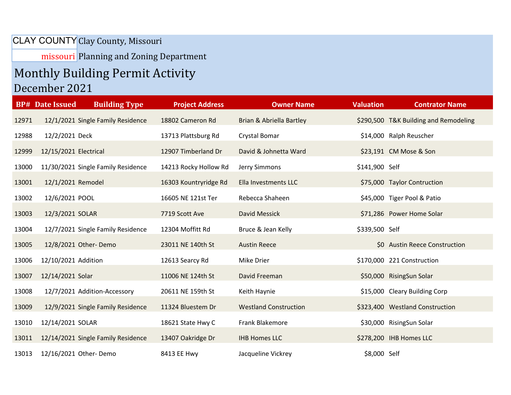CLAY COUNTY Clay County, Missouri

missouri Planning and Zoning Department

## Monthly Building Permit Activity

## December 2021

|       | <b>Building Type</b><br><b>BP# Date Issued</b> | <b>Project Address</b> | <b>Owner Name</b>            | <b>Valuation</b> | <b>Contrator Name</b>                 |
|-------|------------------------------------------------|------------------------|------------------------------|------------------|---------------------------------------|
| 12971 | 12/1/2021 Single Family Residence              | 18802 Cameron Rd       | Brian & Abriella Bartley     |                  | \$290,500 T&K Building and Remodeling |
| 12988 | 12/2/2021 Deck                                 | 13713 Plattsburg Rd    | Crystal Bomar                |                  | \$14,000 Ralph Reuscher               |
| 12999 | 12/15/2021 Electrical                          | 12907 Timberland Dr    | David & Johnetta Ward        |                  | \$23,191 CM Mose & Son                |
| 13000 | 11/30/2021 Single Family Residence             | 14213 Rocky Hollow Rd  | Jerry Simmons                | \$141,900 Self   |                                       |
| 13001 | 12/1/2021 Remodel                              | 16303 Kountryridge Rd  | Ella Investments LLC         |                  | \$75,000 Taylor Contruction           |
| 13002 | 12/6/2021 POOL                                 | 16605 NE 121st Ter     | Rebecca Shaheen              |                  | \$45,000 Tiger Pool & Patio           |
| 13003 | 12/3/2021 SOLAR                                | 7719 Scott Ave         | David Messick                |                  | \$71,286 Power Home Solar             |
| 13004 | 12/7/2021 Single Family Residence              | 12304 Moffitt Rd       | Bruce & Jean Kelly           | \$339,500 Self   |                                       |
| 13005 | 12/8/2021 Other-Demo                           | 23011 NE 140th St      | <b>Austin Reece</b>          |                  | \$0 Austin Reece Construction         |
| 13006 | 12/10/2021 Addition                            | 12613 Searcy Rd        | Mike Drier                   |                  | \$170,000 221 Construction            |
| 13007 | 12/14/2021 Solar                               | 11006 NE 124th St      | David Freeman                |                  | \$50,000 RisingSun Solar              |
| 13008 | 12/7/2021 Addition-Accessory                   | 20611 NE 159th St      | Keith Haynie                 |                  | \$15,000 Cleary Building Corp         |
| 13009 | 12/9/2021 Single Family Residence              | 11324 Bluestem Dr      | <b>Westland Construction</b> |                  | \$323,400 Westland Construction       |
| 13010 | 12/14/2021 SOLAR                               | 18621 State Hwy C      | Frank Blakemore              |                  | \$30,000 RisingSun Solar              |
| 13011 | 12/14/2021 Single Family Residence             | 13407 Oakridge Dr      | <b>IHB Homes LLC</b>         |                  | \$278,200 IHB Homes LLC               |
| 13013 | 12/16/2021 Other-Demo                          | 8413 EE Hwy            | Jacqueline Vickrey           | \$8,000 Self     |                                       |